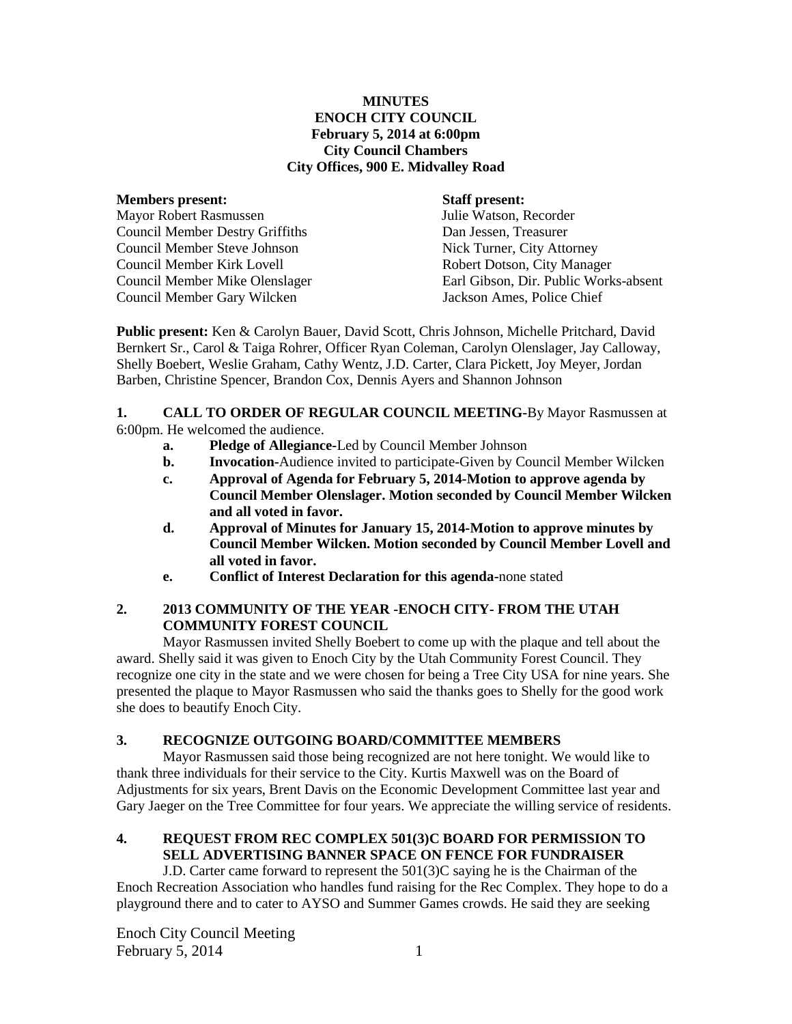#### **MINUTES ENOCH CITY COUNCIL February 5, 2014 at 6:00pm City Council Chambers City Offices, 900 E. Midvalley Road**

#### **Members present: Staff present:**

Mayor Robert Rasmussen Julie Watson, Recorder Council Member Destry Griffiths Dan Jessen, Treasurer Council Member Steve Johnson Nick Turner, City Attorney Council Member Kirk Lovell Robert Dotson, City Manager Council Member Gary Wilcken Jackson Ames, Police Chief

Council Member Mike Olenslager Earl Gibson, Dir. Public Works-absent

**Public present:** Ken & Carolyn Bauer, David Scott, Chris Johnson, Michelle Pritchard, David Bernkert Sr., Carol & Taiga Rohrer, Officer Ryan Coleman, Carolyn Olenslager, Jay Calloway, Shelly Boebert, Weslie Graham, Cathy Wentz, J.D. Carter, Clara Pickett, Joy Meyer, Jordan Barben, Christine Spencer, Brandon Cox, Dennis Ayers and Shannon Johnson

#### **1. CALL TO ORDER OF REGULAR COUNCIL MEETING-**By Mayor Rasmussen at 6:00pm. He welcomed the audience.

- **a. Pledge of Allegiance-**Led by Council Member Johnson
- **b. Invocation-**Audience invited to participate-Given by Council Member Wilcken
- **c. Approval of Agenda for February 5, 2014-Motion to approve agenda by Council Member Olenslager. Motion seconded by Council Member Wilcken and all voted in favor.**
- **d. Approval of Minutes for January 15, 2014-Motion to approve minutes by Council Member Wilcken. Motion seconded by Council Member Lovell and all voted in favor.**
- **e. Conflict of Interest Declaration for this agenda-none stated**

## **2. 2013 COMMUNITY OF THE YEAR -ENOCH CITY- FROM THE UTAH COMMUNITY FOREST COUNCIL**

Mayor Rasmussen invited Shelly Boebert to come up with the plaque and tell about the award. Shelly said it was given to Enoch City by the Utah Community Forest Council. They recognize one city in the state and we were chosen for being a Tree City USA for nine years. She presented the plaque to Mayor Rasmussen who said the thanks goes to Shelly for the good work she does to beautify Enoch City.

## **3. RECOGNIZE OUTGOING BOARD/COMMITTEE MEMBERS**

Mayor Rasmussen said those being recognized are not here tonight. We would like to thank three individuals for their service to the City. Kurtis Maxwell was on the Board of Adjustments for six years, Brent Davis on the Economic Development Committee last year and Gary Jaeger on the Tree Committee for four years. We appreciate the willing service of residents.

# **4. REQUEST FROM REC COMPLEX 501(3)C BOARD FOR PERMISSION TO SELL ADVERTISING BANNER SPACE ON FENCE FOR FUNDRAISER**

J.D. Carter came forward to represent the 501(3)C saying he is the Chairman of the Enoch Recreation Association who handles fund raising for the Rec Complex. They hope to do a playground there and to cater to AYSO and Summer Games crowds. He said they are seeking

Enoch City Council Meeting  $F<sub>e</sub>$  February 5, 2014 1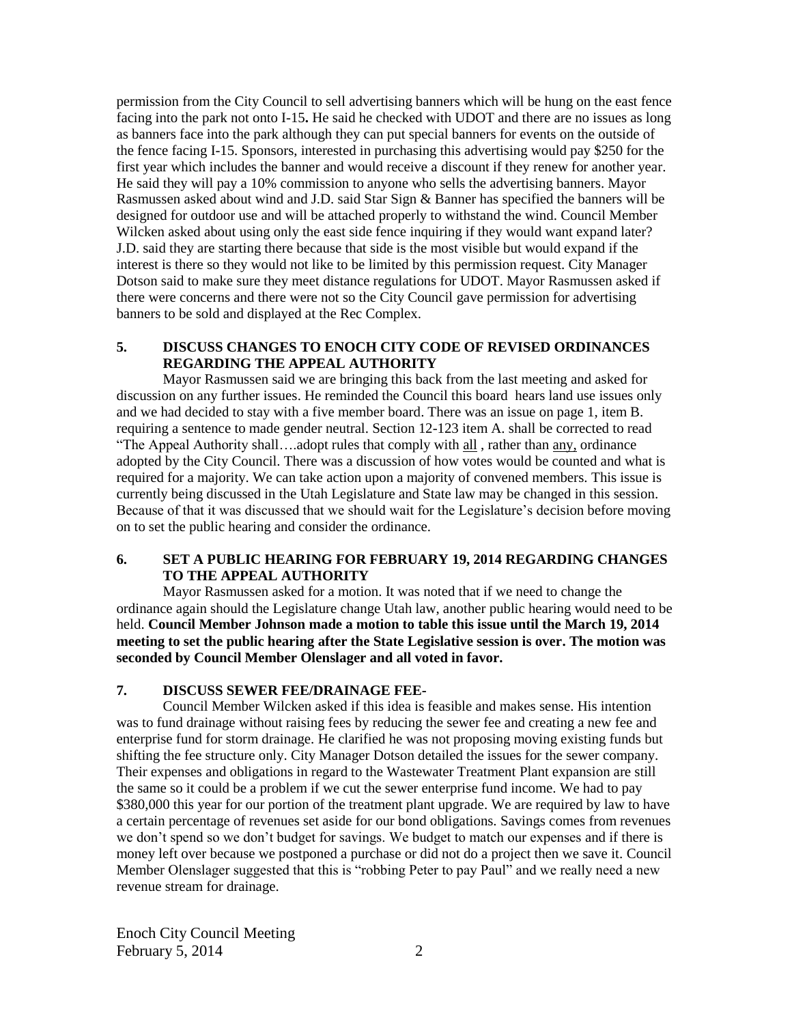permission from the City Council to sell advertising banners which will be hung on the east fence facing into the park not onto I-15**.** He said he checked with UDOT and there are no issues as long as banners face into the park although they can put special banners for events on the outside of the fence facing I-15. Sponsors, interested in purchasing this advertising would pay \$250 for the first year which includes the banner and would receive a discount if they renew for another year. He said they will pay a 10% commission to anyone who sells the advertising banners. Mayor Rasmussen asked about wind and J.D. said Star Sign & Banner has specified the banners will be designed for outdoor use and will be attached properly to withstand the wind. Council Member Wilcken asked about using only the east side fence inquiring if they would want expand later? J.D. said they are starting there because that side is the most visible but would expand if the interest is there so they would not like to be limited by this permission request. City Manager Dotson said to make sure they meet distance regulations for UDOT. Mayor Rasmussen asked if there were concerns and there were not so the City Council gave permission for advertising banners to be sold and displayed at the Rec Complex.

#### **5. DISCUSS CHANGES TO ENOCH CITY CODE OF REVISED ORDINANCES REGARDING THE APPEAL AUTHORITY**

Mayor Rasmussen said we are bringing this back from the last meeting and asked for discussion on any further issues. He reminded the Council this board hears land use issues only and we had decided to stay with a five member board. There was an issue on page 1, item B. requiring a sentence to made gender neutral. Section 12-123 item A. shall be corrected to read "The Appeal Authority shall….adopt rules that comply with all , rather than any, ordinance adopted by the City Council. There was a discussion of how votes would be counted and what is required for a majority. We can take action upon a majority of convened members. This issue is currently being discussed in the Utah Legislature and State law may be changed in this session. Because of that it was discussed that we should wait for the Legislature's decision before moving on to set the public hearing and consider the ordinance.

#### **6. SET A PUBLIC HEARING FOR FEBRUARY 19, 2014 REGARDING CHANGES TO THE APPEAL AUTHORITY**

Mayor Rasmussen asked for a motion. It was noted that if we need to change the ordinance again should the Legislature change Utah law, another public hearing would need to be held. **Council Member Johnson made a motion to table this issue until the March 19, 2014 meeting to set the public hearing after the State Legislative session is over. The motion was seconded by Council Member Olenslager and all voted in favor.**

#### **7. DISCUSS SEWER FEE/DRAINAGE FEE-**

Council Member Wilcken asked if this idea is feasible and makes sense. His intention was to fund drainage without raising fees by reducing the sewer fee and creating a new fee and enterprise fund for storm drainage. He clarified he was not proposing moving existing funds but shifting the fee structure only. City Manager Dotson detailed the issues for the sewer company. Their expenses and obligations in regard to the Wastewater Treatment Plant expansion are still the same so it could be a problem if we cut the sewer enterprise fund income. We had to pay \$380,000 this year for our portion of the treatment plant upgrade. We are required by law to have a certain percentage of revenues set aside for our bond obligations. Savings comes from revenues we don't spend so we don't budget for savings. We budget to match our expenses and if there is money left over because we postponed a purchase or did not do a project then we save it. Council Member Olenslager suggested that this is "robbing Peter to pay Paul" and we really need a new revenue stream for drainage.

Enoch City Council Meeting February  $5, 2014$  2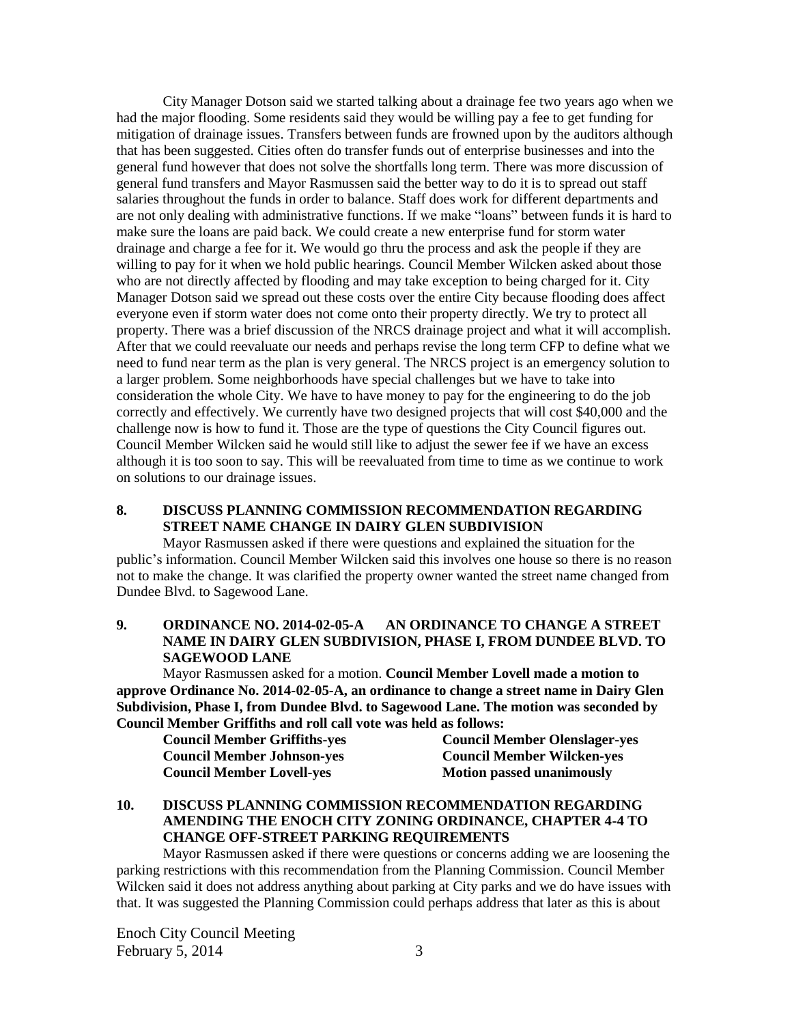City Manager Dotson said we started talking about a drainage fee two years ago when we had the major flooding. Some residents said they would be willing pay a fee to get funding for mitigation of drainage issues. Transfers between funds are frowned upon by the auditors although that has been suggested. Cities often do transfer funds out of enterprise businesses and into the general fund however that does not solve the shortfalls long term. There was more discussion of general fund transfers and Mayor Rasmussen said the better way to do it is to spread out staff salaries throughout the funds in order to balance. Staff does work for different departments and are not only dealing with administrative functions. If we make "loans" between funds it is hard to make sure the loans are paid back. We could create a new enterprise fund for storm water drainage and charge a fee for it. We would go thru the process and ask the people if they are willing to pay for it when we hold public hearings. Council Member Wilcken asked about those who are not directly affected by flooding and may take exception to being charged for it. City Manager Dotson said we spread out these costs over the entire City because flooding does affect everyone even if storm water does not come onto their property directly. We try to protect all property. There was a brief discussion of the NRCS drainage project and what it will accomplish. After that we could reevaluate our needs and perhaps revise the long term CFP to define what we need to fund near term as the plan is very general. The NRCS project is an emergency solution to a larger problem. Some neighborhoods have special challenges but we have to take into consideration the whole City. We have to have money to pay for the engineering to do the job correctly and effectively. We currently have two designed projects that will cost \$40,000 and the challenge now is how to fund it. Those are the type of questions the City Council figures out. Council Member Wilcken said he would still like to adjust the sewer fee if we have an excess although it is too soon to say. This will be reevaluated from time to time as we continue to work on solutions to our drainage issues.

### **8. DISCUSS PLANNING COMMISSION RECOMMENDATION REGARDING STREET NAME CHANGE IN DAIRY GLEN SUBDIVISION**

Mayor Rasmussen asked if there were questions and explained the situation for the public's information. Council Member Wilcken said this involves one house so there is no reason not to make the change. It was clarified the property owner wanted the street name changed from Dundee Blvd. to Sagewood Lane.

#### **9. ORDINANCE NO. 2014-02-05-A AN ORDINANCE TO CHANGE A STREET NAME IN DAIRY GLEN SUBDIVISION, PHASE I, FROM DUNDEE BLVD. TO SAGEWOOD LANE**

Mayor Rasmussen asked for a motion. **Council Member Lovell made a motion to approve Ordinance No. 2014-02-05-A, an ordinance to change a street name in Dairy Glen Subdivision, Phase I, from Dundee Blvd. to Sagewood Lane. The motion was seconded by Council Member Griffiths and roll call vote was held as follows:**

| <b>Council Member Griffiths-yes</b> | <b>Council Member Olenslager-yes</b> |
|-------------------------------------|--------------------------------------|
| <b>Council Member Johnson-yes</b>   | <b>Council Member Wilcken-yes</b>    |
| <b>Council Member Lovell-yes</b>    | <b>Motion passed unanimously</b>     |

## **10. DISCUSS PLANNING COMMISSION RECOMMENDATION REGARDING AMENDING THE ENOCH CITY ZONING ORDINANCE, CHAPTER 4-4 TO CHANGE OFF-STREET PARKING REQUIREMENTS**

Mayor Rasmussen asked if there were questions or concerns adding we are loosening the parking restrictions with this recommendation from the Planning Commission. Council Member Wilcken said it does not address anything about parking at City parks and we do have issues with that. It was suggested the Planning Commission could perhaps address that later as this is about

Enoch City Council Meeting February  $5, 2014$  3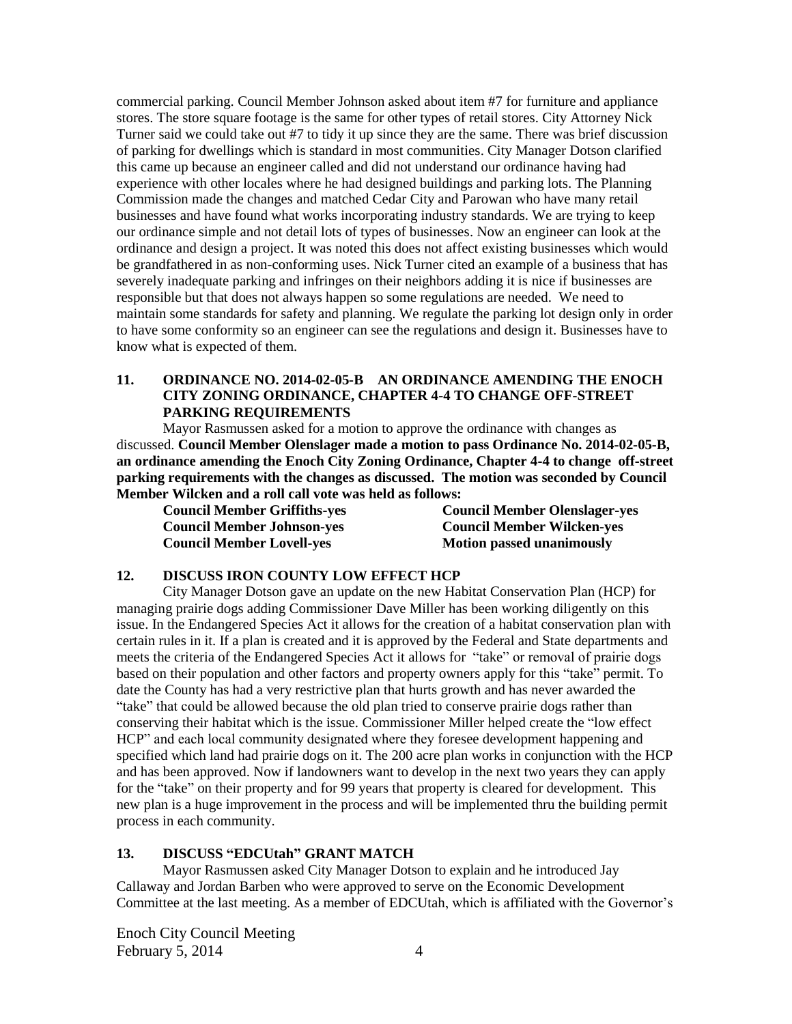commercial parking. Council Member Johnson asked about item #7 for furniture and appliance stores. The store square footage is the same for other types of retail stores. City Attorney Nick Turner said we could take out #7 to tidy it up since they are the same. There was brief discussion of parking for dwellings which is standard in most communities. City Manager Dotson clarified this came up because an engineer called and did not understand our ordinance having had experience with other locales where he had designed buildings and parking lots. The Planning Commission made the changes and matched Cedar City and Parowan who have many retail businesses and have found what works incorporating industry standards. We are trying to keep our ordinance simple and not detail lots of types of businesses. Now an engineer can look at the ordinance and design a project. It was noted this does not affect existing businesses which would be grandfathered in as non-conforming uses. Nick Turner cited an example of a business that has severely inadequate parking and infringes on their neighbors adding it is nice if businesses are responsible but that does not always happen so some regulations are needed. We need to maintain some standards for safety and planning. We regulate the parking lot design only in order to have some conformity so an engineer can see the regulations and design it. Businesses have to know what is expected of them.

## **11. ORDINANCE NO. 2014-02-05-B AN ORDINANCE AMENDING THE ENOCH CITY ZONING ORDINANCE, CHAPTER 4-4 TO CHANGE OFF-STREET PARKING REQUIREMENTS**

Mayor Rasmussen asked for a motion to approve the ordinance with changes as discussed. **Council Member Olenslager made a motion to pass Ordinance No. 2014-02-05-B, an ordinance amending the Enoch City Zoning Ordinance, Chapter 4-4 to change off-street parking requirements with the changes as discussed. The motion was seconded by Council Member Wilcken and a roll call vote was held as follows:**

**Council Member Lovell-yes Motion passed unanimously**

**Council Member Griffiths-yes Council Member Olenslager-yes Council Member Johnson-yes Council Member Wilcken-yes**

#### **12. DISCUSS IRON COUNTY LOW EFFECT HCP**

City Manager Dotson gave an update on the new Habitat Conservation Plan (HCP) for managing prairie dogs adding Commissioner Dave Miller has been working diligently on this issue. In the Endangered Species Act it allows for the creation of a habitat conservation plan with certain rules in it. If a plan is created and it is approved by the Federal and State departments and meets the criteria of the Endangered Species Act it allows for "take" or removal of prairie dogs based on their population and other factors and property owners apply for this "take" permit. To date the County has had a very restrictive plan that hurts growth and has never awarded the "take" that could be allowed because the old plan tried to conserve prairie dogs rather than conserving their habitat which is the issue. Commissioner Miller helped create the "low effect HCP" and each local community designated where they foresee development happening and specified which land had prairie dogs on it. The 200 acre plan works in conjunction with the HCP and has been approved. Now if landowners want to develop in the next two years they can apply for the "take" on their property and for 99 years that property is cleared for development. This new plan is a huge improvement in the process and will be implemented thru the building permit process in each community.

#### **13. DISCUSS "EDCUtah" GRANT MATCH**

Mayor Rasmussen asked City Manager Dotson to explain and he introduced Jay Callaway and Jordan Barben who were approved to serve on the Economic Development Committee at the last meeting. As a member of EDCUtah, which is affiliated with the Governor's

Enoch City Council Meeting  $F<sub>e</sub>$  February 5, 2014  $\overline{4}$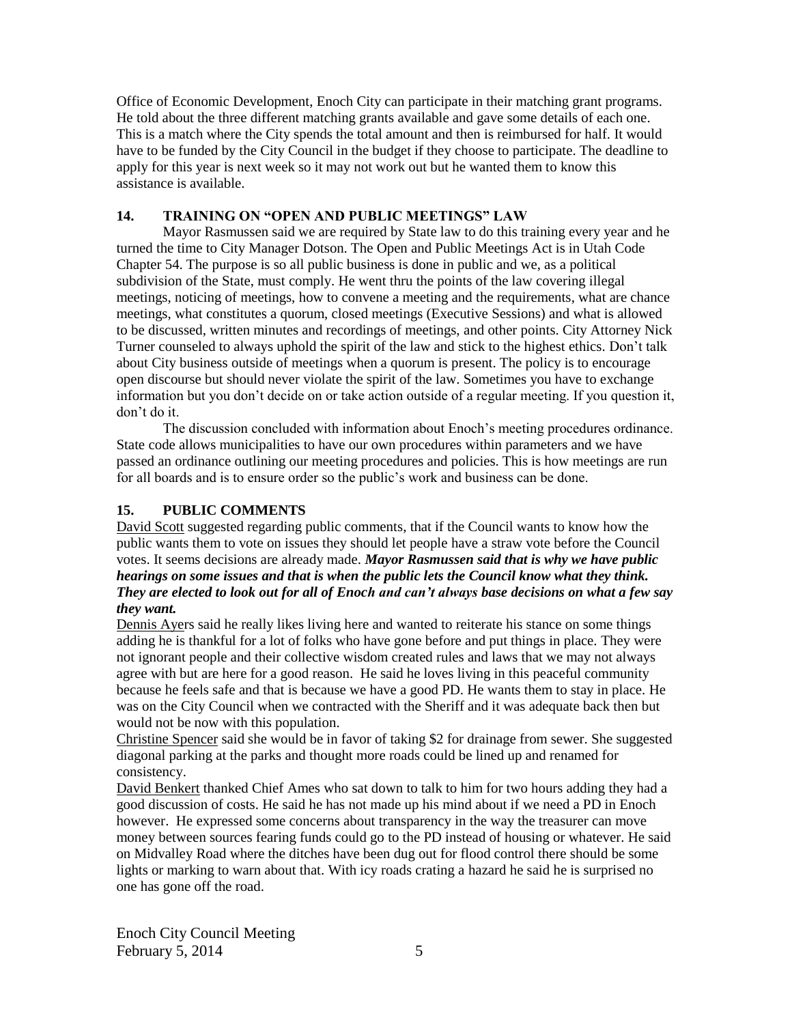Office of Economic Development, Enoch City can participate in their matching grant programs. He told about the three different matching grants available and gave some details of each one. This is a match where the City spends the total amount and then is reimbursed for half. It would have to be funded by the City Council in the budget if they choose to participate. The deadline to apply for this year is next week so it may not work out but he wanted them to know this assistance is available.

#### **14. TRAINING ON "OPEN AND PUBLIC MEETINGS" LAW**

Mayor Rasmussen said we are required by State law to do this training every year and he turned the time to City Manager Dotson. The Open and Public Meetings Act is in Utah Code Chapter 54. The purpose is so all public business is done in public and we, as a political subdivision of the State, must comply. He went thru the points of the law covering illegal meetings, noticing of meetings, how to convene a meeting and the requirements, what are chance meetings, what constitutes a quorum, closed meetings (Executive Sessions) and what is allowed to be discussed, written minutes and recordings of meetings, and other points. City Attorney Nick Turner counseled to always uphold the spirit of the law and stick to the highest ethics. Don't talk about City business outside of meetings when a quorum is present. The policy is to encourage open discourse but should never violate the spirit of the law. Sometimes you have to exchange information but you don't decide on or take action outside of a regular meeting. If you question it, don't do it.

The discussion concluded with information about Enoch's meeting procedures ordinance. State code allows municipalities to have our own procedures within parameters and we have passed an ordinance outlining our meeting procedures and policies. This is how meetings are run for all boards and is to ensure order so the public's work and business can be done.

## **15. PUBLIC COMMENTS**

David Scott suggested regarding public comments, that if the Council wants to know how the public wants them to vote on issues they should let people have a straw vote before the Council votes. It seems decisions are already made. *Mayor Rasmussen said that is why we have public hearings on some issues and that is when the public lets the Council know what they think. They are elected to look out for all of Enoch and can't always base decisions on what a few say they want.*

Dennis Ayers said he really likes living here and wanted to reiterate his stance on some things adding he is thankful for a lot of folks who have gone before and put things in place. They were not ignorant people and their collective wisdom created rules and laws that we may not always agree with but are here for a good reason. He said he loves living in this peaceful community because he feels safe and that is because we have a good PD. He wants them to stay in place. He was on the City Council when we contracted with the Sheriff and it was adequate back then but would not be now with this population.

Christine Spencer said she would be in favor of taking \$2 for drainage from sewer. She suggested diagonal parking at the parks and thought more roads could be lined up and renamed for consistency.

David Benkert thanked Chief Ames who sat down to talk to him for two hours adding they had a good discussion of costs. He said he has not made up his mind about if we need a PD in Enoch however. He expressed some concerns about transparency in the way the treasurer can move money between sources fearing funds could go to the PD instead of housing or whatever. He said on Midvalley Road where the ditches have been dug out for flood control there should be some lights or marking to warn about that. With icy roads crating a hazard he said he is surprised no one has gone off the road.

Enoch City Council Meeting  $F<sub>e</sub>$  February 5, 2014  $\overline{5}$